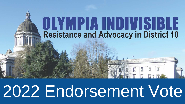# OLYMPIA INDIVISIBLE **Resistance and Advocacy in District 10**

医 医 医

# 2022 Endorsement Vote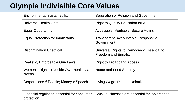## **Olympia Indivisible Core Values**

| <b>Environmental Sustainability</b>                       | Separation of Religion and Government                                     |
|-----------------------------------------------------------|---------------------------------------------------------------------------|
| <b>Universal Health Care</b>                              | <b>Right to Quality Education for All</b>                                 |
| <b>Equal Opportunity</b>                                  | Accessible, Verifiable, Secure Voting                                     |
| Equal Protection for Immigrants                           | Transparent, Accountable, Responsive<br>Government                        |
| <b>Discrimination Unethical</b>                           | Universal Rights to Democracy Essential to<br><b>Freedom and Equality</b> |
| Realistic, Enforceable Gun Laws                           | <b>Right to Broadband Access</b>                                          |
| Women's Right to Decide Own Health Care<br><b>Needs</b>   | Home and Food Security                                                    |
| Corporations $\neq$ People; Money $\neq$ Speech           | Living Wage; Right to Unionize                                            |
| Financial regulation essential for consumer<br>protection | Small businesses are essential for job creation                           |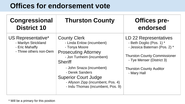## **Offices for endorsement vote**

| <b>Congressional</b><br><b>District 10</b>                                             | <b>Thurston County</b>                                                                                                                                                                                                                                                                                   | <b>Offices pre-</b><br>endorsed                                                                                                                                                                        |
|----------------------------------------------------------------------------------------|----------------------------------------------------------------------------------------------------------------------------------------------------------------------------------------------------------------------------------------------------------------------------------------------------------|--------------------------------------------------------------------------------------------------------------------------------------------------------------------------------------------------------|
| US Representative*<br>- Marilyn Strickland<br>- Eric Mahaffy<br>- Three others non-Dem | <b>County Clerk</b><br>- Linda Enlow (incumbent)<br>- Tonya Moore<br><b>Prosecuting Attorney</b><br>- Jon Tunheim (incumbent)<br><b>Sheriff</b><br>- John Snaza (incumbent)<br>- Derek Sanders<br><b>Superior Court Judge</b><br>- Allyson Zipp (incumbent, Pos. 4)<br>- Indu Thomas (incumbent, Pos. 9) | LD 22 Representatives<br>- Beth Doglio (Pos. 1) *<br>- Jessica Bateman (Pos. 2) *<br><b>Thurston County Commissioner</b><br>- Tye Menser (District 3)<br><b>Thurston County Auditor</b><br>- Mary Hall |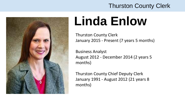

# **Linda Enlow**

Thurston County Clerk January 2015 - Present (7 years 5 months)

Business Analyst August 2012 - December 2014 (2 years 5 months)

Thurston County Chief Deputy Clerk January 1991 - August 2012 (21 years 8 months)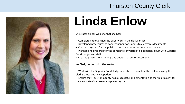

# **Linda Enlow**

She states on her web site that she has:

- Completely reorganized the paperwork in the clerk's office
- Developed procedures to convert paper documents to electronic documents
- Created a system for the public to purchase court documents on the web.
- Planned and prepared for the complete conversion to a paperless court with Superior Court Judges and staff.
- Created process for scanning and auditing of court documents

As Clerk, her top priorities are to:

– Work with the Superior Court Judges and staff to complete the task of making the Clerk's office entirely paperless.

– Ensure that Thurston County has a successful implementation as the "pilot court" for the new statewide case management system.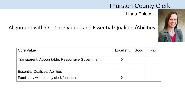Linda Enlow



| <b>Core Value</b>                               | Excellent | Good | Fair |
|-------------------------------------------------|-----------|------|------|
| Transparent, Accountable, Responsive Government |           |      |      |
|                                                 |           |      |      |
| <b>Essential Qualities/ Abilities</b>           |           |      |      |
| Familiarity with county clerk functions         |           |      |      |
|                                                 |           |      |      |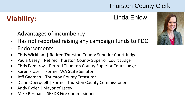### **Viability:** Linda Enlow

- Advantages of incumbency
- Has not reported raising any campaign funds to PDC
- Endorsements
- Chris Wickham | Retired Thurston County Superior Court Judge
- Paula Casey | Retired Thurston County Superior Court Judge
- Chris Pomeroy | Retired Thurston County Superior Court Judge
- Karen Fraser | Former WA State Senator
- Jeff Gadman | Thurston County Treasurer
- Diane Oberquell | Former Thurston County Commissioner
- Andy Ryder | Mayor of Lacey
- Mike Berman | SBFD8 Fire Commissioner

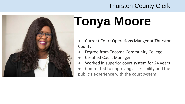

# **Tonya Moore**

- Current Court Operations Manger at Thurston County
- Degree from Tacoma Community College
- **Certified Court Manager**
- Worked in superior court system for 24 years
- Committed to improving accessibility and the public's experience with the court system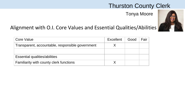Tonya Moore



| Core Value                                       | Excellent | Good | Fair |
|--------------------------------------------------|-----------|------|------|
| Transparent, accountable, responsible government |           |      |      |
|                                                  |           |      |      |
| Essential qualities/abilities                    |           |      |      |
| Familiarity with county clerk functions          |           |      |      |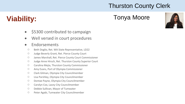### **Viability:** Tonya Moore



- \$5300 contributed to campaign
- Well versed in court procedures

#### • Endorsements

- Beth Doglio, Ret. WA State Representative, LD22
- Judge Beverly Grant, Ret. Pierce County Court
- James Marshall, Ret. Pierce County Court Commissioner
- Judge Anne Hirsch, Ret. Thurston County Superior Court
- Carolina Mejia, Thurston County Commissioner
- Amy Evans, Port of Olympia Commissioner
- Clark Gilman, Olympia City Councilmember
- Lisa Parshley, Olympia City Councilmember
- Dontae Payne, Olympia City Councilmember
- Carolyn Cox, Lacey City Councilmember
- Debbie Sullivan, Mayor of Tumwater
- Peter Agabi, Tumwater City Councilmember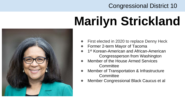# **Marilyn Strickland**



- First elected in 2020 to replace Denny Heck
- Former 2-term Mayor of Tacoma
- 1<sup>st</sup> Korean-American and African-American Congressperson from Washington
- Member of the House Armed Services **Committee**
- Member of Transportation & Infrastructure **Committee**
- Member Congressional Black Caucus et al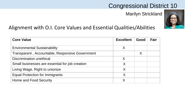Marilyn Strickland



| <b>Core Value</b>                               | <b>Excellent</b> | Good | Fair |
|-------------------------------------------------|------------------|------|------|
| <b>Environmental Sustainability</b>             | X                |      |      |
| Transparent, Accountable, Responsive Government |                  | X    |      |
| Discrimination unethical                        | X                |      |      |
| Small businesses are essential for job creation | X                |      |      |
| Living Wage, Right to unionize                  | Χ                |      |      |
| <b>Equal Protection for Immigrants</b>          | $\sf X$          |      |      |
| Home and Food Security                          | Χ                |      |      |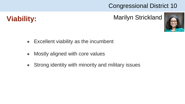

### **Viability:** Marilyn Strickland



- Excellent viability as the incumbent
- Mostly aligned with core values
- Strong identity with minority and military issues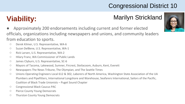## **Viability:** Marilyn Strickland

- Approximately 200 endorsements including current and former elected officials, organizations including newspapers and unions, and community leaders from education to sports.
	- Derek Kilmer, U.S. Representative, WA-6
	- Suzan DelBene, U.S. Representative, WA-1
	- Rick Larsen, U.S. Representative, WA-2
	- Hilary Franz, WA Commissioner of Public Lands
	- James Clyburn, U.S. Representative, SC-6
	- Mayors of Tacoma, Lakewood, Sumner, Fircrest, Steilacoom, Auburn, Kent, Everett
	- Newspapers The News Tribune, The Olympian, and The Seattle Times
	- Unions Operating Engineers Local 612 & 302, Laborers of North America, Washington State Association of the UA Plumbers and Pipefitters, International Longshore and Warehouse, Seafarers International, Sailors of the Pacific, Coalition of Black Trade Unionists – Puget Sound Chapter
	- Congressional Black Caucus PAC
	- Pierce County Young Democrats
	- Thurston County Young Democrats

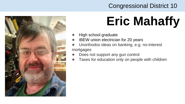

# **Eric Mahaffy**

- **High school graduate**
- **IBEW** union electrician for 20 years
- Unorthodox ideas on banking, e.g. no-interest mortgages
- Does not support any gun control
- Taxes for education only on people with children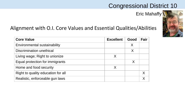Eric Mahaffy



| <b>Core Value</b>                  | <b>Excellent</b> | Good | Fair |
|------------------------------------|------------------|------|------|
| Environmental sustainability       |                  | Χ    |      |
| Discrimination unethical           |                  | X    |      |
| Living wage; Right to unionize     | Χ                |      |      |
| Equal protection for immigrants    |                  | X    |      |
| Home and food security             | Χ                |      |      |
| Right to quality education for all |                  |      | Χ    |
| Realistic, enforceable gun laws    |                  |      |      |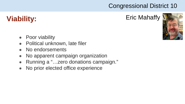## **Viability:** Eric Mahaffy



- **Poor viability**
- Political unknown, late filer
- No endorsements
- No apparent campaign organization
- Running a "...zero donations campaign."
- No prior elected office experience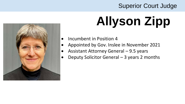

# **Allyson Zipp**

- Incumbent in Position 4
- Appointed by Gov. Inslee in November 2021
- Assistant Attorney General 9.5 years
- Deputy Solicitor General 3 years 2 months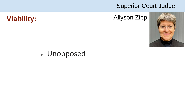



### • Unopposed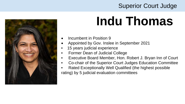

# **Indu Thomas**

- Incumbent in Position 9
- Appointed by Gov. Inslee in September 2021
- 15 years judicial experience
- Former Dean of Judicial College
- Executive Board Member, Hon. Robert J. Bryan Inn of Court
- Co-chair of the Superior Court Judges Education Committee
- Rated Exceptionally Well Qualified (the highest possible rating) by 5 judicial evaluation committees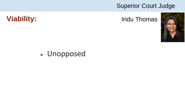#### **Viability:** Indu Thomas



## • Unopposed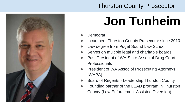

### Thurston County Prosecutor

# **Jon Tunheim**

- **Democrat**
- **Incumbent Thurston County Prosecutor since 2010**
- Law degree from Puget Sound Law School
- Serves on multiple legal and charitable boards
- Past President of WA State Assoc of Drug Court **Professionals**
- **President of WA Assoc of Prosecuting Attorneys** (WAPA)
- Board of Regents Leadership Thurston County
- Founding partner of the LEAD program in Thurston County (Law Enforcement Assisted Diversion)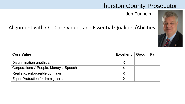#### Thurston County Prosecutor

Jon Tunheim



| <b>Core Value</b>                               | <b>Excellent</b> | Good | Fair |
|-------------------------------------------------|------------------|------|------|
| Discrimination unethical                        |                  |      |      |
| Corporations $\neq$ People; Money $\neq$ Speech |                  |      |      |
| Realistic, enforceable gun laws                 |                  |      |      |
| <b>Equal Protection for Immigrants</b>          |                  |      |      |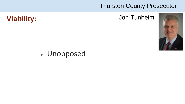#### Thurston County Prosecutor



## **Viability:** Jon Tunheim

### • Unopposed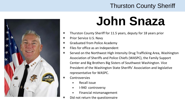

# **John Snaza**

- Thurston County Sheriff for 11.5 years, deputy for 18 years prior
- Prior Service U.S. Navy
- Graduated from Police Academy
- Files for office as an Independent
- Served on the Northwest High Intensity Drug Trafficking Area, Washington Association of Sheriffs and Police Chiefs (WASPC), the Family Support Center and Big Brothers Big Sisters of Southwest Washington. Vice President of the Washington State Sheriffs' Association and legislative representative for WASPC.
- **Controversies** 
	- Recall issue
	- I-940 controversy
	- Financial mismanagement
- Did not return the questionnaire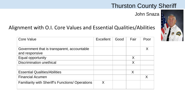John Snaza

| <b>Core Value</b>                                             | <b>Excellent</b> | Good | Fair | Poor |
|---------------------------------------------------------------|------------------|------|------|------|
| Government that is transparent, accountable<br>and responsive |                  |      |      |      |
| Equal opportunity                                             |                  |      | X    |      |
| <b>Discrimination unethical</b>                               |                  |      | X    |      |
|                                                               |                  |      |      |      |
| <b>Essential Qualities/Abilities</b>                          |                  |      | X    |      |
| <b>Financial Acumen</b>                                       |                  |      |      | X    |
| <b>Familiarity with Sheriff's Functions/ Operations</b>       | X                |      |      |      |

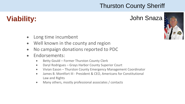## **Viability:** John Snaza

- Long time incumbent
- Well known in the county and region
- No campaign donations reported to PDC
- Endorsements:
	- Betty Gould Former Thurston County Clerk
	- Daryl Rodrigues Grays Harbor County Superior Court
	- Vivian Eason Thurston County Emergency Management Coordinator
	- James B. Montfort III President & CEO, Americans for Constitutional Law and Rights
	- Many others, mostly professional associates / contacts

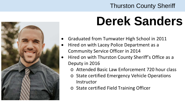

# **Derek Sanders**

- Graduated from Tumwater High School in 2011
- Hired on with Lacey Police Department as a Community Service Officer in 2014
- Hired on with Thurston County Sheriff's Office as a Deputy in 2016
	- o Attended Basic Law Enforcement 720 hour class
	- o State certified Emergency Vehicle Operations **Instructor**
	- o State certified Field Training Officer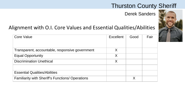#### Derek Sanders

| <b>Core Value</b>                                       | Excellent | Good | Fair |
|---------------------------------------------------------|-----------|------|------|
| Transparent, accountable, responsive government         | X         |      |      |
| <b>Equal Opportunity</b>                                | X         |      |      |
| <b>Discrimination Unethical</b>                         | X         |      |      |
|                                                         |           |      |      |
| <b>Essential Qualities/Abilities</b>                    |           |      |      |
| <b>Familiarity with Sheriff's Functions/ Operations</b> |           | Χ    |      |